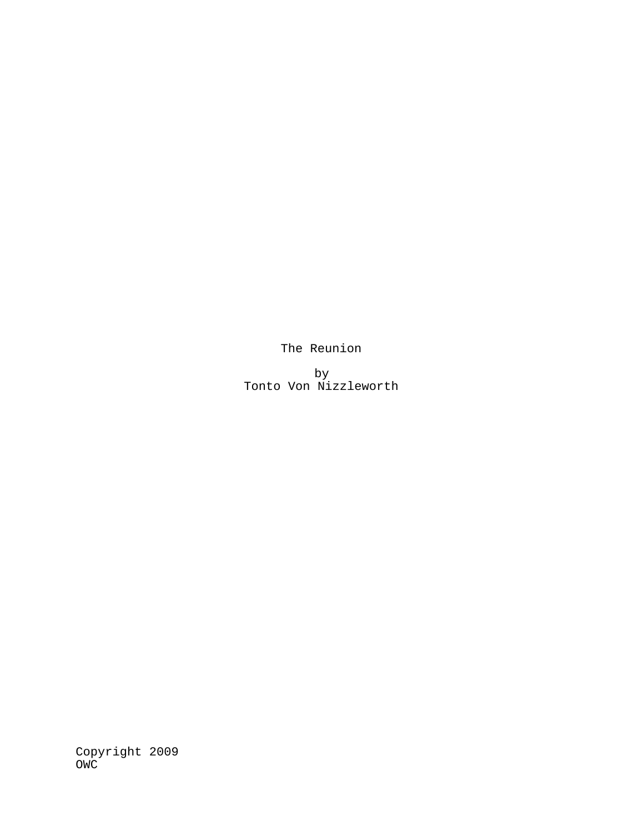The Reunion

by Tonto Von Nizzleworth

Copyright 2009 OWC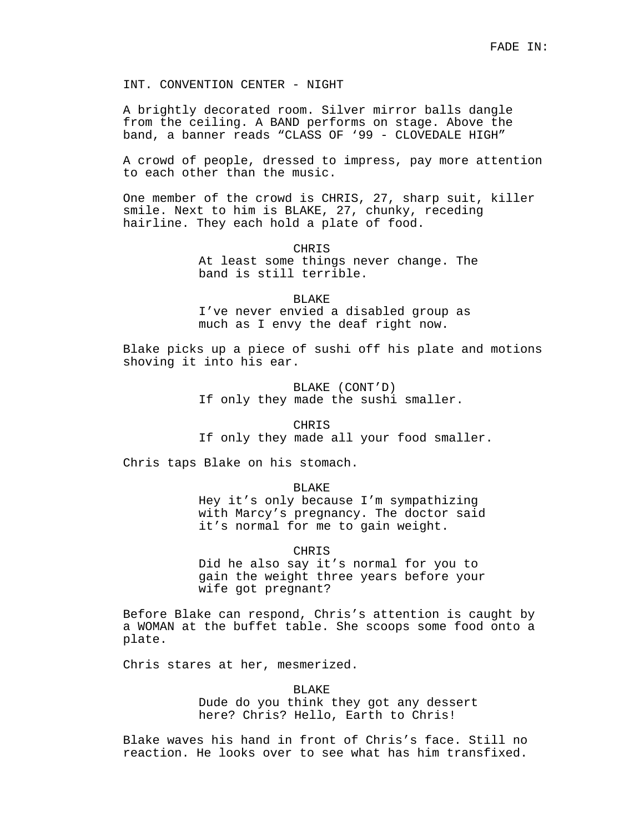INT. CONVENTION CENTER - NIGHT

A brightly decorated room. Silver mirror balls dangle from the ceiling. A BAND performs on stage. Above the band, a banner reads "CLASS OF '99 - CLOVEDALE HIGH"

A crowd of people, dressed to impress, pay more attention to each other than the music.

One member of the crowd is CHRIS, 27, sharp suit, killer smile. Next to him is BLAKE, 27, chunky, receding hairline. They each hold a plate of food.

> CHRIS At least some things never change. The band is still terrible.

BLAKE I've never envied a disabled group as much as I envy the deaf right now.

Blake picks up a piece of sushi off his plate and motions shoving it into his ear.

> BLAKE (CONT'D) If only they made the sushi smaller.

> > **CHRIS**

If only they made all your food smaller.

Chris taps Blake on his stomach.

BLAKE

Hey it's only because I'm sympathizing with Marcy's pregnancy. The doctor said it's normal for me to gain weight.

CHRIS

Did he also say it's normal for you to gain the weight three years before your wife got pregnant?

Before Blake can respond, Chris's attention is caught by a WOMAN at the buffet table. She scoops some food onto a plate.

Chris stares at her, mesmerized.

BLAKE

Dude do you think they got any dessert here? Chris? Hello, Earth to Chris!

Blake waves his hand in front of Chris's face. Still no reaction. He looks over to see what has him transfixed.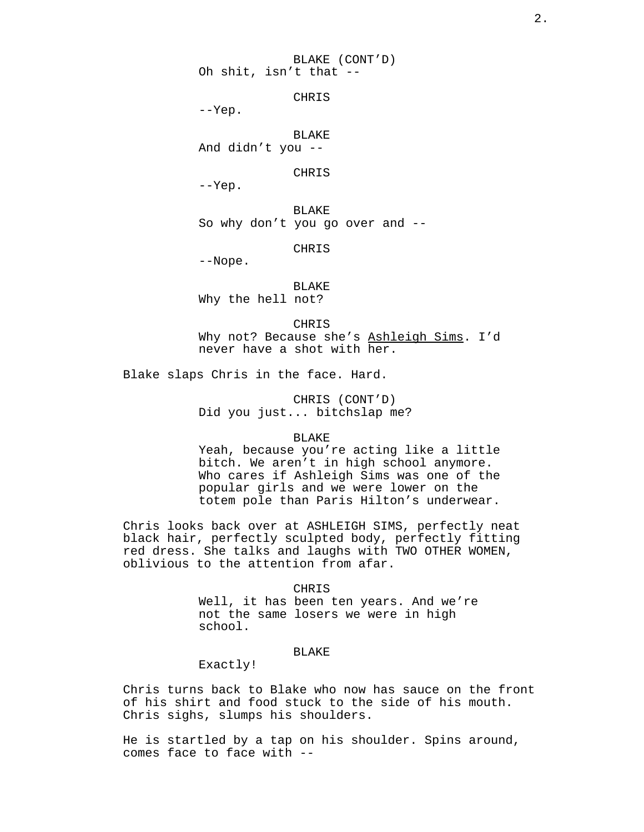BLAKE (CONT'D) Oh shit, isn't that --

CHRIS

--Yep.

BLAKE And didn't you --

CHRIS

--Yep.

BLAKE So why don't you go over and --

CHRIS

--Nope.

BLAKE Why the hell not?

CHRIS Why not? Because she's Ashleigh Sims. I'd never have a shot with her.

Blake slaps Chris in the face. Hard.

CHRIS (CONT'D) Did you just... bitchslap me?

### BLAKE

Yeah, because you're acting like a little bitch. We aren't in high school anymore. Who cares if Ashleigh Sims was one of the popular girls and we were lower on the totem pole than Paris Hilton's underwear.

Chris looks back over at ASHLEIGH SIMS, perfectly neat black hair, perfectly sculpted body, perfectly fitting red dress. She talks and laughs with TWO OTHER WOMEN, oblivious to the attention from afar.

#### CHRIS

Well, it has been ten years. And we're not the same losers we were in high school.

## BLAKE

Exactly!

Chris turns back to Blake who now has sauce on the front of his shirt and food stuck to the side of his mouth. Chris sighs, slumps his shoulders.

He is startled by a tap on his shoulder. Spins around, comes face to face with --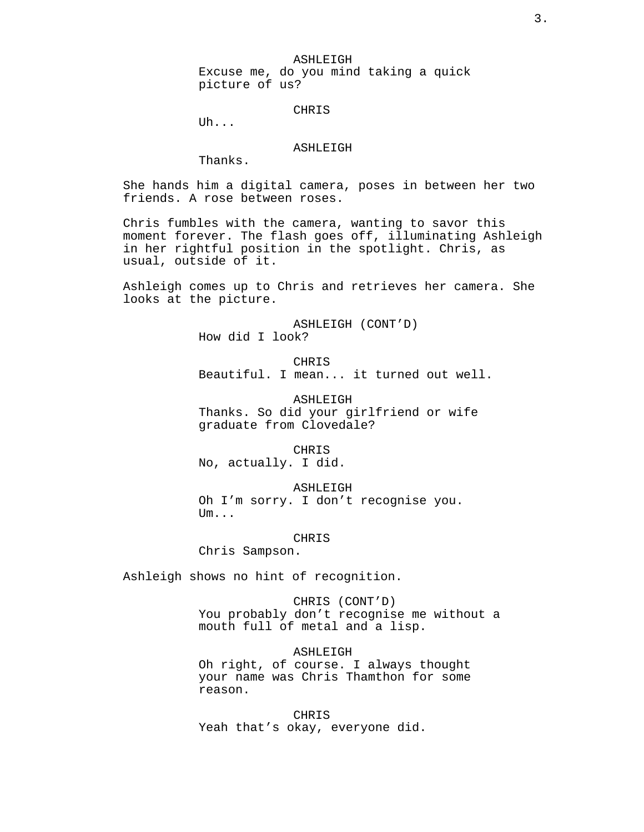ASHLEIGH

Excuse me, do you mind taking a quick picture of us?

#### CHRIS

Uh...

### ASHLEIGH

Thanks.

She hands him a digital camera, poses in between her two friends. A rose between roses.

Chris fumbles with the camera, wanting to savor this moment forever. The flash goes off, illuminating Ashleigh in her rightful position in the spotlight. Chris, as usual, outside of it.

Ashleigh comes up to Chris and retrieves her camera. She looks at the picture.

> ASHLEIGH (CONT'D) How did I look?

CHRIS Beautiful. I mean... it turned out well.

ASHLEIGH Thanks. So did your girlfriend or wife graduate from Clovedale?

CHRIS No, actually. I did.

ASHLEIGH Oh I'm sorry. I don't recognise you. Um...

CHRIS

Chris Sampson.

Ashleigh shows no hint of recognition.

CHRIS (CONT'D) You probably don't recognise me without a mouth full of metal and a lisp.

ASHLEIGH Oh right, of course. I always thought your name was Chris Thamthon for some reason.

CHRIS Yeah that's okay, everyone did.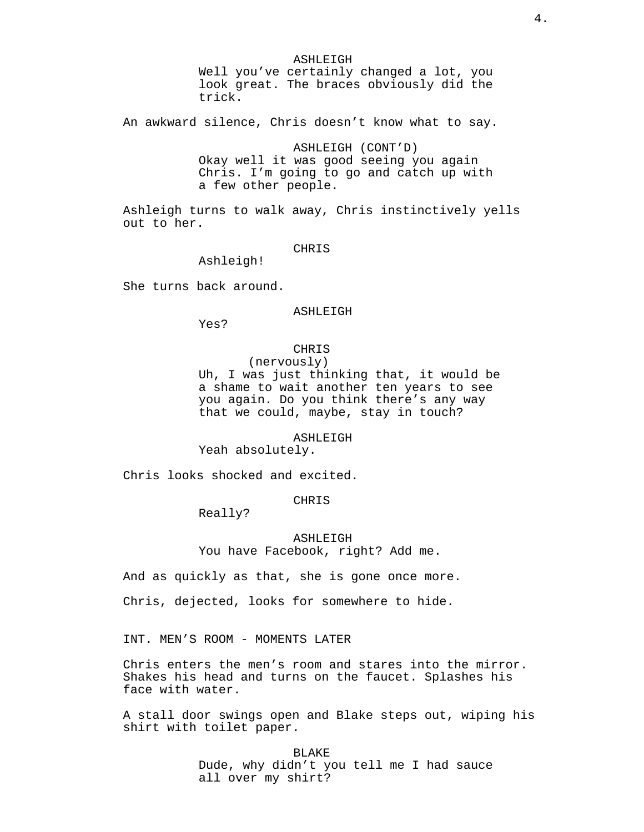ASHLEIGH

Well you've certainly changed a lot, you look great. The braces obviously did the trick.

An awkward silence, Chris doesn't know what to say.

ASHLEIGH (CONT'D) Okay well it was good seeing you again Chris. I'm going to go and catch up with a few other people.

Ashleigh turns to walk away, Chris instinctively yells out to her.

## CHRIS

Ashleigh!

She turns back around.

## ASHLEIGH

Yes?

# CHRIS

(nervously)

Uh, I was just thinking that, it would be a shame to wait another ten years to see you again. Do you think there's any way that we could, maybe, stay in touch?

#### ASHLEIGH

Yeah absolutely.

Chris looks shocked and excited.

## CHRIS

Really?

ASHLEIGH You have Facebook, right? Add me.

And as quickly as that, she is gone once more.

Chris, dejected, looks for somewhere to hide.

INT. MEN'S ROOM - MOMENTS LATER

Chris enters the men's room and stares into the mirror. Shakes his head and turns on the faucet. Splashes his face with water.

A stall door swings open and Blake steps out, wiping his shirt with toilet paper.

> BLAKE Dude, why didn't you tell me I had sauce all over my shirt?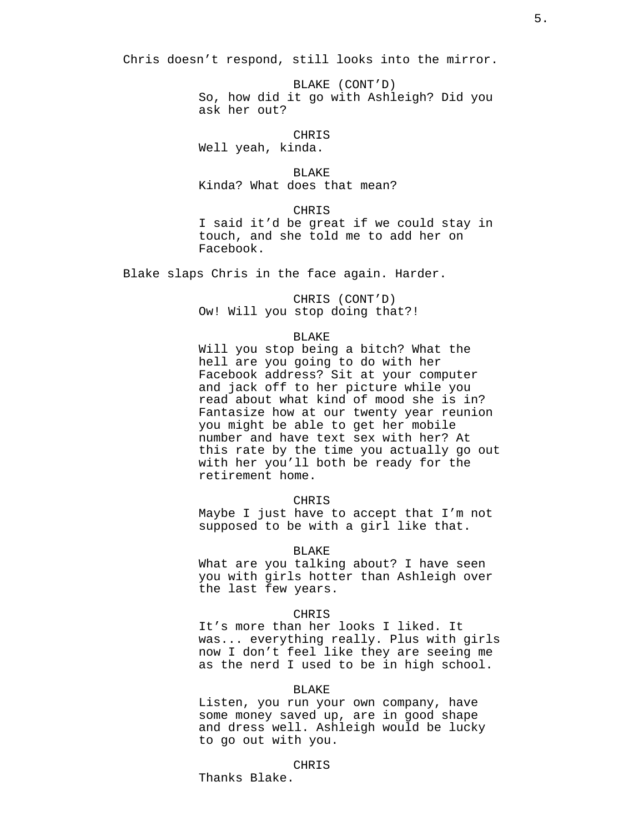Chris doesn't respond, still looks into the mirror.

BLAKE (CONT'D) So, how did it go with Ashleigh? Did you ask her out?

CHRIS Well yeah, kinda.

BLAKE

Kinda? What does that mean?

CHRIS

I said it'd be great if we could stay in touch, and she told me to add her on Facebook.

Blake slaps Chris in the face again. Harder.

CHRIS (CONT'D) Ow! Will you stop doing that?!

## BLAKE

Will you stop being a bitch? What the hell are you going to do with her Facebook address? Sit at your computer and jack off to her picture while you read about what kind of mood she is in? Fantasize how at our twenty year reunion you might be able to get her mobile number and have text sex with her? At this rate by the time you actually go out with her you'll both be ready for the retirement home.

## CHRIS

Maybe I just have to accept that I'm not supposed to be with a girl like that.

#### BLAKE

What are you talking about? I have seen you with girls hotter than Ashleigh over the last few years.

#### CHRIS

It's more than her looks I liked. It was... everything really. Plus with girls now I don't feel like they are seeing me as the nerd I used to be in high school.

### BLAKE

Listen, you run your own company, have some money saved up, are in good shape and dress well. Ashleigh would be lucky to go out with you.

## CHRIS

Thanks Blake.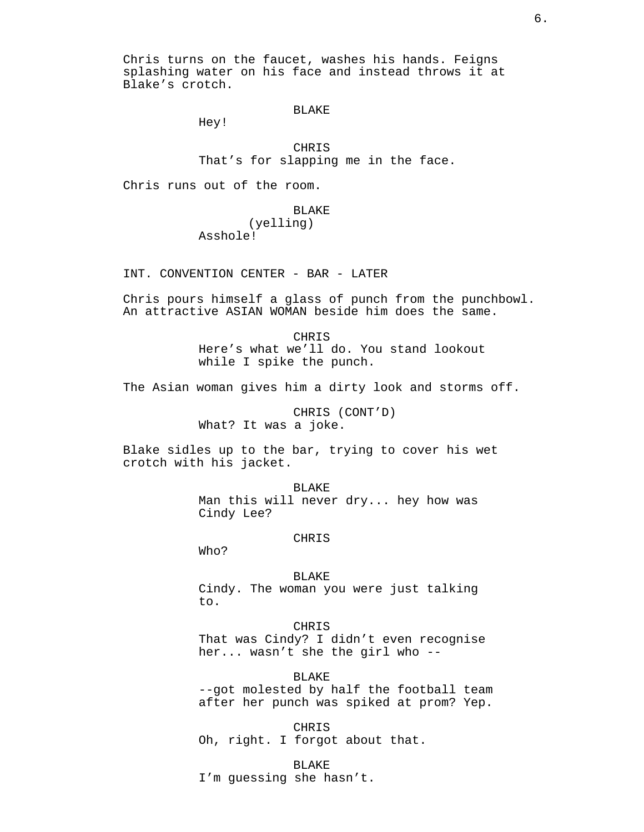Chris turns on the faucet, washes his hands. Feigns splashing water on his face and instead throws it at Blake's crotch.

## BLAKE

Hey!

# CHRIS

That's for slapping me in the face.

Chris runs out of the room.

## BLAKE

(yelling) Asshole!

INT. CONVENTION CENTER - BAR - LATER

Chris pours himself a glass of punch from the punchbowl. An attractive ASIAN WOMAN beside him does the same.

> CHRIS Here's what we'll do. You stand lookout while I spike the punch.

The Asian woman gives him a dirty look and storms off.

CHRIS (CONT'D) What? It was a joke.

Blake sidles up to the bar, trying to cover his wet crotch with his jacket.

> BLAKE Man this will never dry... hey how was Cindy Lee?

> > CHRIS

Who?

BLAKE

Cindy. The woman you were just talking to.

## **CHRIS**

That was Cindy? I didn't even recognise her... wasn't she the girl who --

BLAKE

--got molested by half the football team after her punch was spiked at prom? Yep.

CHRIS Oh, right. I forgot about that.

BLAKE I'm guessing she hasn't.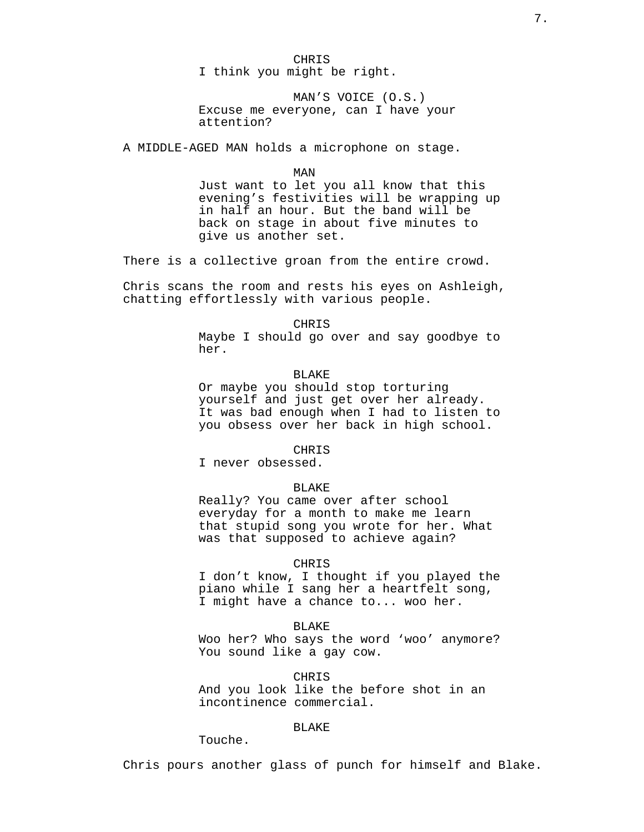CHRIS I think you might be right.

MAN'S VOICE (O.S.) Excuse me everyone, can I have your attention?

A MIDDLE-AGED MAN holds a microphone on stage.

MAN

Just want to let you all know that this evening's festivities will be wrapping up in half an hour. But the band will be back on stage in about five minutes to give us another set.

There is a collective groan from the entire crowd.

Chris scans the room and rests his eyes on Ashleigh, chatting effortlessly with various people.

CHRIS

Maybe I should go over and say goodbye to her.

## BLAKE

Or maybe you should stop torturing yourself and just get over her already. It was bad enough when I had to listen to you obsess over her back in high school.

### CHRIS

I never obsessed.

#### BLAKE

Really? You came over after school everyday for a month to make me learn that stupid song you wrote for her. What was that supposed to achieve again?

#### CHRIS

I don't know, I thought if you played the piano while I sang her a heartfelt song, I might have a chance to... woo her.

## BLAKE

Woo her? Who says the word 'woo' anymore? You sound like a gay cow.

CHRIS

And you look like the before shot in an incontinence commercial.

# BLAKE

Touche.

Chris pours another glass of punch for himself and Blake.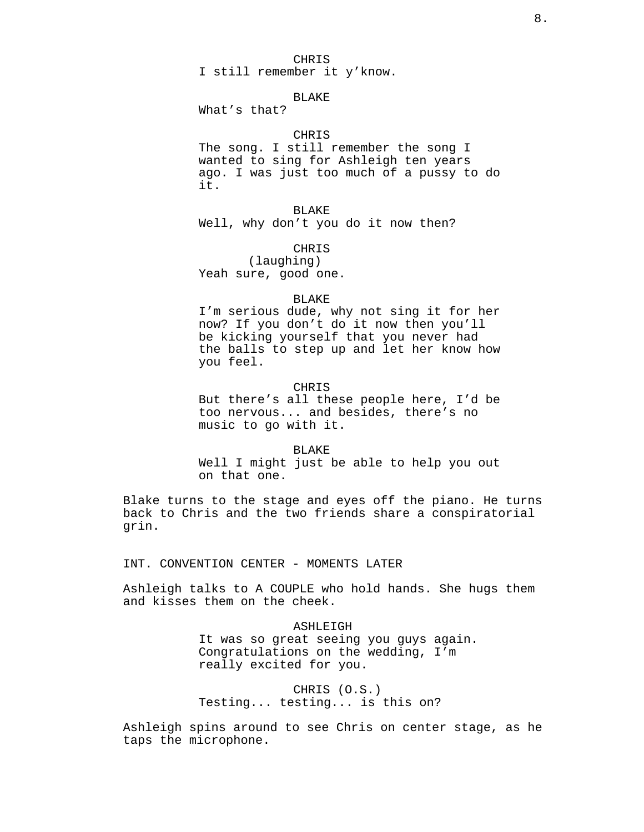## CHRIS

I still remember it y'know.

## BLAKE

What's that?

# CHRIS

The song. I still remember the song I wanted to sing for Ashleigh ten years ago. I was just too much of a pussy to do it.

BLAKE

Well, why don't you do it now then?

CHRIS

(laughing) Yeah sure, good one.

#### BLAKE

I'm serious dude, why not sing it for her now? If you don't do it now then you'll be kicking yourself that you never had the balls to step up and let her know how you feel.

# CHRIS

But there's all these people here, I'd be too nervous... and besides, there's no music to go with it.

#### BLAKE

Well I might just be able to help you out on that one.

Blake turns to the stage and eyes off the piano. He turns back to Chris and the two friends share a conspiratorial grin.

INT. CONVENTION CENTER - MOMENTS LATER

Ashleigh talks to A COUPLE who hold hands. She hugs them and kisses them on the cheek.

#### ASHLEIGH

It was so great seeing you guys again. Congratulations on the wedding, I'm really excited for you.

CHRIS (O.S.) Testing... testing... is this on?

Ashleigh spins around to see Chris on center stage, as he taps the microphone.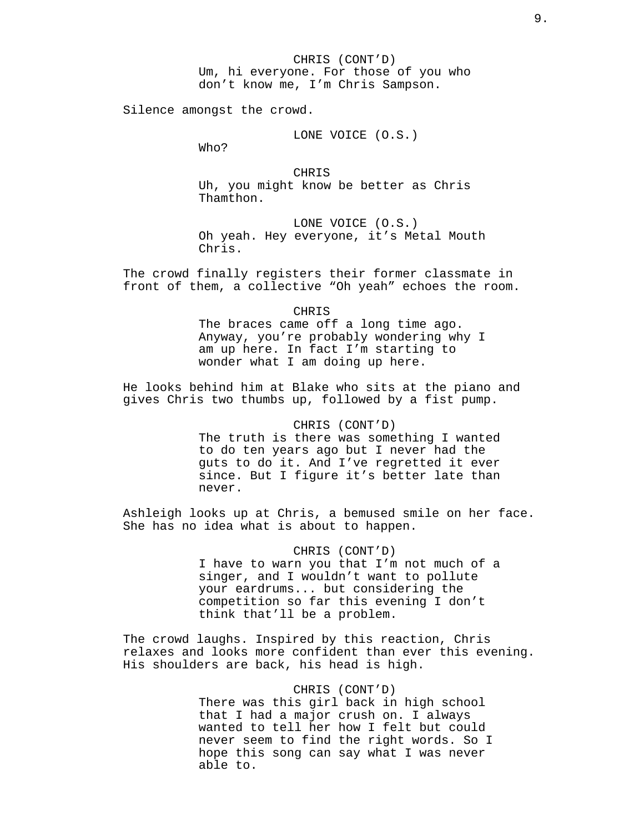Silence amongst the crowd.

### LONE VOICE (O.S.)

Who?

CHRIS Uh, you might know be better as Chris Thamthon.

LONE VOICE (O.S.) Oh yeah. Hey everyone, it's Metal Mouth Chris.

The crowd finally registers their former classmate in front of them, a collective "Oh yeah" echoes the room.

### CHRIS

The braces came off a long time ago. Anyway, you're probably wondering why I am up here. In fact I'm starting to wonder what I am doing up here.

He looks behind him at Blake who sits at the piano and gives Chris two thumbs up, followed by a fist pump.

## CHRIS (CONT'D)

The truth is there was something I wanted to do ten years ago but I never had the guts to do it. And I've regretted it ever since. But I figure it's better late than never.

Ashleigh looks up at Chris, a bemused smile on her face. She has no idea what is about to happen.

## CHRIS (CONT'D)

I have to warn you that I'm not much of a singer, and I wouldn't want to pollute your eardrums... but considering the competition so far this evening I don't think that'll be a problem.

The crowd laughs. Inspired by this reaction, Chris relaxes and looks more confident than ever this evening. His shoulders are back, his head is high.

## CHRIS (CONT'D)

There was this girl back in high school that I had a major crush on. I always wanted to tell her how I felt but could never seem to find the right words. So I hope this song can say what I was never able to.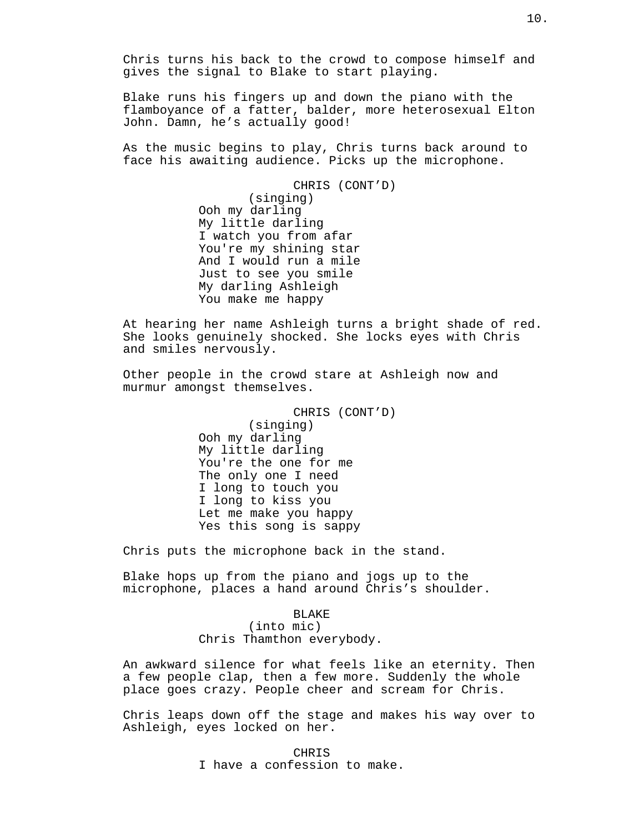Chris turns his back to the crowd to compose himself and gives the signal to Blake to start playing.

Blake runs his fingers up and down the piano with the flamboyance of a fatter, balder, more heterosexual Elton John. Damn, he's actually good!

As the music begins to play, Chris turns back around to face his awaiting audience. Picks up the microphone.

> CHRIS (CONT'D) (singing) Ooh my darling My little darling I watch you from afar You're my shining star And I would run a mile Just to see you smile My darling Ashleigh You make me happy

At hearing her name Ashleigh turns a bright shade of red. She looks genuinely shocked. She locks eyes with Chris and smiles nervously.

Other people in the crowd stare at Ashleigh now and murmur amongst themselves.

> CHRIS (CONT'D) (singing) Ooh my darling My little darling You're the one for me The only one I need I long to touch you I long to kiss you Let me make you happy Yes this song is sappy

Chris puts the microphone back in the stand.

Blake hops up from the piano and jogs up to the microphone, places a hand around Chris's shoulder.

> BLAKE (into mic) Chris Thamthon everybody.

An awkward silence for what feels like an eternity. Then a few people clap, then a few more. Suddenly the whole place goes crazy. People cheer and scream for Chris.

Chris leaps down off the stage and makes his way over to Ashleigh, eyes locked on her.

> CHRIS I have a confession to make.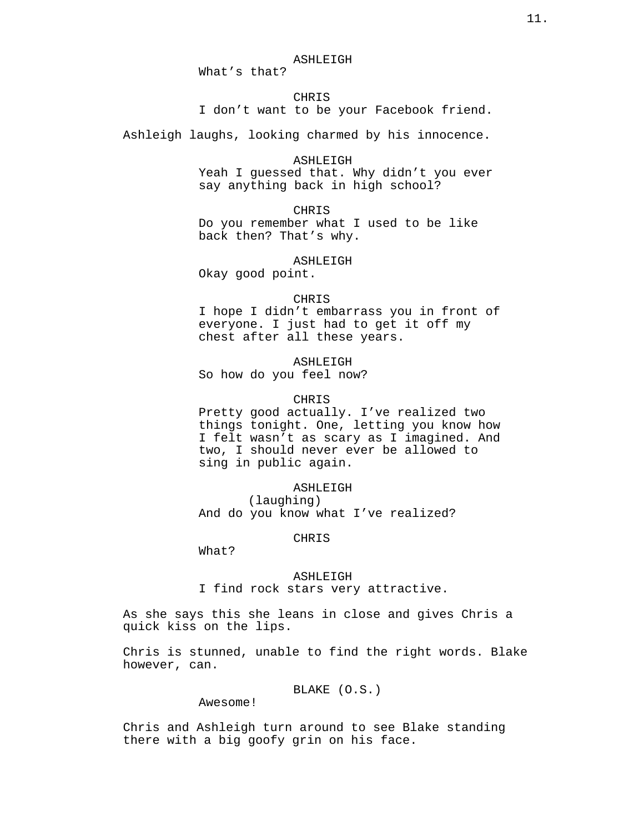What's that?

## CHRIS

I don't want to be your Facebook friend.

Ashleigh laughs, looking charmed by his innocence.

## ASHLEIGH

Yeah I guessed that. Why didn't you ever say anything back in high school?

#### CHRIS

Do you remember what I used to be like back then? That's why.

## ASHLEIGH

Okay good point.

## CHRIS

I hope I didn't embarrass you in front of everyone. I just had to get it off my chest after all these years.

## ASHLEIGH

So how do you feel now?

## CHRIS

Pretty good actually. I've realized two things tonight. One, letting you know how I felt wasn't as scary as I imagined. And two, I should never ever be allowed to sing in public again.

### ASHLEIGH

(laughing) And do you know what I've realized?

## CHRIS

What?

## ASHLEIGH

I find rock stars very attractive.

As she says this she leans in close and gives Chris a quick kiss on the lips.

Chris is stunned, unable to find the right words. Blake however, can.

BLAKE (O.S.)

Awesome!

Chris and Ashleigh turn around to see Blake standing there with a big goofy grin on his face.